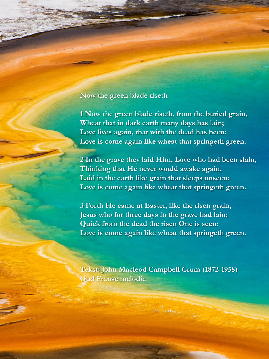## **Now the green blade riseth**

**1 Now the green blade riseth, from the buried grain, Wheat that in dark earth many days has lain; Love lives again, that with the dead has been: Love is come again like wheat that springeth green.**

**2 In the grave they laid Him, Love who had been slain, Thinking that He never would awake again, Laid in the earth like grain that sleeps unseen: Love is come again like wheat that springeth green.**

**3 Forth He came at Easter, like the risen grain, Jesus who for three days in the grave had lain; Quick from the dead the risen One is seen: Love is come again like wheat that springeth green.**

**Tekst: John Macleod Campbell Crum (1872-1958) Oud Franse melodie**